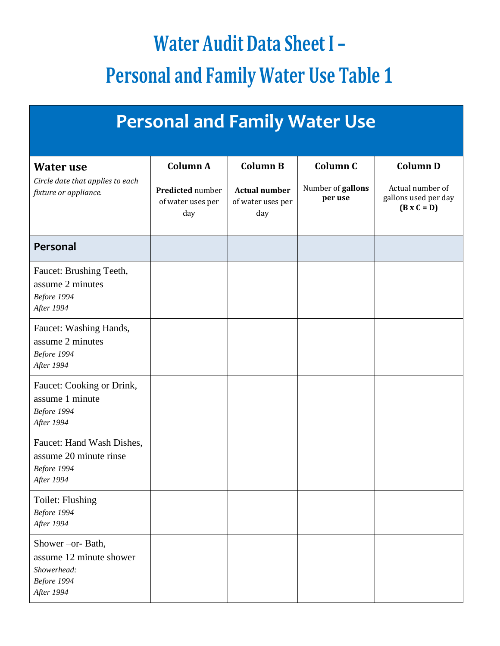## **Water Audit Data Sheet I – Personal and Family Water Use Table 1**

| <b>Personal and Family Water Use</b>                                                      |                                                     |                                                  |                              |                                                                |  |  |  |
|-------------------------------------------------------------------------------------------|-----------------------------------------------------|--------------------------------------------------|------------------------------|----------------------------------------------------------------|--|--|--|
| <b>Water use</b>                                                                          | Column A                                            | <b>Column B</b>                                  | Column <sub>C</sub>          | <b>Column D</b>                                                |  |  |  |
| Circle date that applies to each<br>fixture or appliance.                                 | <b>Predicted number</b><br>of water uses per<br>day | <b>Actual number</b><br>of water uses per<br>day | Number of gallons<br>per use | Actual number of<br>gallons used per day<br>$(B \times C = D)$ |  |  |  |
| Personal                                                                                  |                                                     |                                                  |                              |                                                                |  |  |  |
| Faucet: Brushing Teeth,<br>assume 2 minutes<br>Before 1994<br>After 1994                  |                                                     |                                                  |                              |                                                                |  |  |  |
| Faucet: Washing Hands,<br>assume 2 minutes<br>Before 1994<br>After 1994                   |                                                     |                                                  |                              |                                                                |  |  |  |
| Faucet: Cooking or Drink,<br>assume 1 minute<br>Before 1994<br>After 1994                 |                                                     |                                                  |                              |                                                                |  |  |  |
| Faucet: Hand Wash Dishes,<br>assume 20 minute rinse<br>Before 1994<br>After 1994          |                                                     |                                                  |                              |                                                                |  |  |  |
| Toilet: Flushing<br>Before 1994<br>After 1994                                             |                                                     |                                                  |                              |                                                                |  |  |  |
| Shower - or- Bath,<br>assume 12 minute shower<br>Showerhead:<br>Before 1994<br>After 1994 |                                                     |                                                  |                              |                                                                |  |  |  |